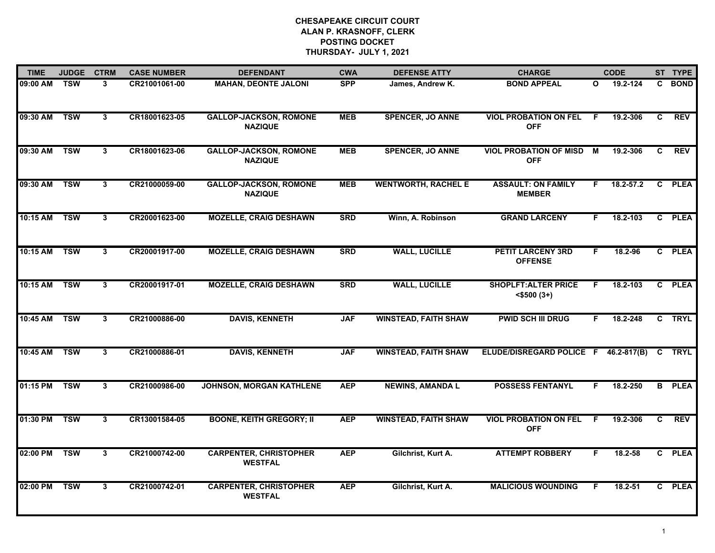| <b>TIME</b>  | <b>JUDGE</b> | <b>CTRM</b>  | <b>CASE NUMBER</b> | <b>DEFENDANT</b>                                | <b>CWA</b> | <b>DEFENSE ATTY</b>         | <b>CHARGE</b>                                   |              | <b>CODE</b> |    | ST TYPE       |
|--------------|--------------|--------------|--------------------|-------------------------------------------------|------------|-----------------------------|-------------------------------------------------|--------------|-------------|----|---------------|
| 09:00 AM     | <b>TSW</b>   | 3            | CR21001061-00      | <b>MAHAN, DEONTE JALONI</b>                     | <b>SPP</b> | James, Andrew K.            | <b>BOND APPEAL</b>                              | $\mathbf{o}$ | 19.2-124    | C. | <b>BOND</b>   |
| 09:30 AM TSW |              | $\mathbf{3}$ | CR18001623-05      | <b>GALLOP-JACKSON, ROMONE</b><br><b>NAZIQUE</b> | <b>MEB</b> | <b>SPENCER, JO ANNE</b>     | <b>VIOL PROBATION ON FEL</b><br><b>OFF</b>      | F            | 19.2-306    | C. | <b>REV</b>    |
| 09:30 AM TSW |              | 3            | CR18001623-06      | <b>GALLOP-JACKSON, ROMONE</b><br><b>NAZIQUE</b> | <b>MEB</b> | <b>SPENCER, JO ANNE</b>     | <b>VIOL PROBATION OF MISD</b><br><b>OFF</b>     | M            | 19.2-306    | C. | <b>REV</b>    |
| 09:30 AM     | <b>TSW</b>   | 3            | CR21000059-00      | <b>GALLOP-JACKSON, ROMONE</b><br><b>NAZIQUE</b> | <b>MEB</b> | <b>WENTWORTH, RACHEL E</b>  | <b>ASSAULT: ON FAMILY</b><br><b>MEMBER</b>      | F.           | 18.2-57.2   |    | C PLEA        |
| 10:15 AM     | <b>TSW</b>   | 3            | CR20001623-00      | <b>MOZELLE, CRAIG DESHAWN</b>                   | <b>SRD</b> | Winn, A. Robinson           | <b>GRAND LARCENY</b>                            | F.           | 18.2-103    |    | C PLEA        |
| 10:15 AM     | <b>TSW</b>   | 3            | CR20001917-00      | <b>MOZELLE, CRAIG DESHAWN</b>                   | <b>SRD</b> | <b>WALL, LUCILLE</b>        | <b>PETIT LARCENY 3RD</b><br><b>OFFENSE</b>      | F.           | 18.2-96     |    | C PLEA        |
| 10:15 AM TSW |              | 3            | CR20001917-01      | <b>MOZELLE, CRAIG DESHAWN</b>                   | <b>SRD</b> | <b>WALL, LUCILLE</b>        | <b>SHOPLFT: ALTER PRICE</b><br>$<$ \$500 $(3+)$ | F.           | 18.2-103    |    | C PLEA        |
| 10:45 AM TSW |              | 3            | CR21000886-00      | <b>DAVIS, KENNETH</b>                           | <b>JAF</b> | <b>WINSTEAD, FAITH SHAW</b> | <b>PWID SCH III DRUG</b>                        | F.           | 18.2-248    |    | C TRYL        |
| 10:45 AM     | <b>TSW</b>   | 3            | CR21000886-01      | <b>DAVIS, KENNETH</b>                           | <b>JAF</b> | <b>WINSTEAD, FAITH SHAW</b> | ELUDE/DISREGARD POLICE F 46.2-817(B)            |              |             |    | C TRYL        |
| 01:15 PM     | <b>TSW</b>   | 3            | CR21000986-00      | <b>JOHNSON, MORGAN KATHLENE</b>                 | <b>AEP</b> | <b>NEWINS, AMANDA L</b>     | <b>POSSESS FENTANYL</b>                         | F.           | 18.2-250    |    | <b>B</b> PLEA |
| 01:30 PM     | <b>TSW</b>   | 3            | CR13001584-05      | <b>BOONE, KEITH GREGORY; II</b>                 | <b>AEP</b> | <b>WINSTEAD, FAITH SHAW</b> | <b>VIOL PROBATION ON FEL</b><br><b>OFF</b>      | F.           | 19.2-306    | C. | <b>REV</b>    |
| 02:00 PM TSW |              | 3            | CR21000742-00      | <b>CARPENTER, CHRISTOPHER</b><br><b>WESTFAL</b> | <b>AEP</b> | Gilchrist, Kurt A.          | <b>ATTEMPT ROBBERY</b>                          | F.           | 18.2-58     |    | C PLEA        |
| 02:00 PM     | <b>TSW</b>   | 3            | CR21000742-01      | <b>CARPENTER, CHRISTOPHER</b><br><b>WESTFAL</b> | <b>AEP</b> | Gilchrist, Kurt A.          | <b>MALICIOUS WOUNDING</b>                       | F.           | 18.2-51     |    | C PLEA        |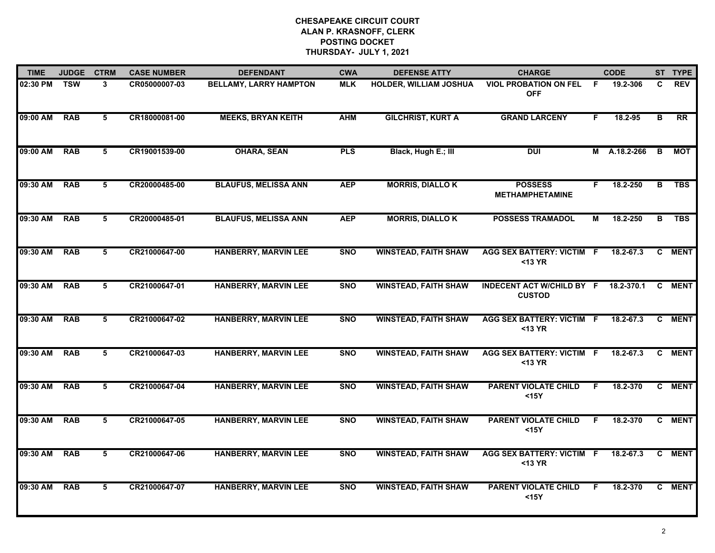| <b>TIME</b>  | <b>JUDGE</b> | <b>CTRM</b>     | <b>CASE NUMBER</b> | <b>DEFENDANT</b>              | <b>CWA</b> | <b>DEFENSE ATTY</b>         | <b>CHARGE</b>                                     |    | <b>CODE</b>   |    | ST TYPE         |
|--------------|--------------|-----------------|--------------------|-------------------------------|------------|-----------------------------|---------------------------------------------------|----|---------------|----|-----------------|
| 02:30 PM TSW |              | 3               | CR05000007-03      | <b>BELLAMY, LARRY HAMPTON</b> | <b>MLK</b> | HOLDER, WILLIAM JOSHUA      | <b>VIOL PROBATION ON FEL</b><br><b>OFF</b>        | -F | 19.2-306      | C. | <b>REV</b>      |
| 09:00 AM     | <b>RAB</b>   | 5               | CR18000081-00      | <b>MEEKS, BRYAN KEITH</b>     | <b>AHM</b> | <b>GILCHRIST, KURT A</b>    | <b>GRAND LARCENY</b>                              | F. | 18.2-95       | в  | $\overline{RR}$ |
| 09:00 AM     | <b>RAB</b>   | 5               | CR19001539-00      | <b>OHARA, SEAN</b>            | <b>PLS</b> | Black, Hugh E.; III         | <b>DUI</b>                                        |    | M A.18.2-266  | B  | MOT             |
| 09:30 AM     | <b>RAB</b>   | 5               | CR20000485-00      | <b>BLAUFUS, MELISSA ANN</b>   | <b>AEP</b> | <b>MORRIS, DIALLOK</b>      | <b>POSSESS</b><br><b>METHAMPHETAMINE</b>          | F. | 18.2-250      | В  | <b>TBS</b>      |
| 09:30 AM     | <b>RAB</b>   | 5               | CR20000485-01      | <b>BLAUFUS, MELISSA ANN</b>   | <b>AEP</b> | <b>MORRIS, DIALLOK</b>      | <b>POSSESS TRAMADOL</b>                           | М  | 18.2-250      | В  | <b>TBS</b>      |
| 09:30 AM     | <b>RAB</b>   | 5               | CR21000647-00      | <b>HANBERRY, MARVIN LEE</b>   | <b>SNO</b> | <b>WINSTEAD, FAITH SHAW</b> | AGG SEX BATTERY: VICTIM F<br>$13 YR$              |    | $18.2 - 67.3$ |    | C MENT          |
| 09:30 AM     | <b>RAB</b>   | $5\overline{5}$ | CR21000647-01      | <b>HANBERRY, MARVIN LEE</b>   | <b>SNO</b> | <b>WINSTEAD, FAITH SHAW</b> | <b>INDECENT ACT W/CHILD BY F</b><br><b>CUSTOD</b> |    | 18.2-370.1    | C. | <b>MENT</b>     |
| 09:30 AM     | <b>RAB</b>   | 5               | CR21000647-02      | <b>HANBERRY, MARVIN LEE</b>   | <b>SNO</b> | <b>WINSTEAD, FAITH SHAW</b> | <b>AGG SEX BATTERY: VICTIM F</b><br>$13 YR$       |    | 18.2-67.3     |    | C MENT          |
| 09:30 AM     | <b>RAB</b>   | 5               | CR21000647-03      | <b>HANBERRY, MARVIN LEE</b>   | <b>SNO</b> | <b>WINSTEAD, FAITH SHAW</b> | <b>AGG SEX BATTERY: VICTIM F</b><br>$13 YR$       |    | 18.2-67.3     |    | C MENT          |
| 09:30 AM     | <b>RAB</b>   | 5               | CR21000647-04      | <b>HANBERRY, MARVIN LEE</b>   | <b>SNO</b> | <b>WINSTEAD, FAITH SHAW</b> | <b>PARENT VIOLATE CHILD</b><br>$15Y$              | F. | 18.2-370      |    | C MENT          |
| 09:30 AM     | <b>RAB</b>   | 5               | CR21000647-05      | <b>HANBERRY, MARVIN LEE</b>   | <b>SNO</b> | <b>WINSTEAD, FAITH SHAW</b> | <b>PARENT VIOLATE CHILD</b><br>$15Y$              | F. | 18.2-370      |    | C MENT          |
| 09:30 AM     | <b>RAB</b>   | 5               | CR21000647-06      | <b>HANBERRY, MARVIN LEE</b>   | <b>SNO</b> | <b>WINSTEAD, FAITH SHAW</b> | <b>AGG SEX BATTERY: VICTIM F</b><br>$<$ 13 YR     |    | 18.2-67.3     |    | C MENT          |
| 09:30 AM     | <b>RAB</b>   | 5               | CR21000647-07      | <b>HANBERRY, MARVIN LEE</b>   | <b>SNO</b> | <b>WINSTEAD, FAITH SHAW</b> | <b>PARENT VIOLATE CHILD</b><br>$15Y$              | F. | 18.2-370      |    | C MENT          |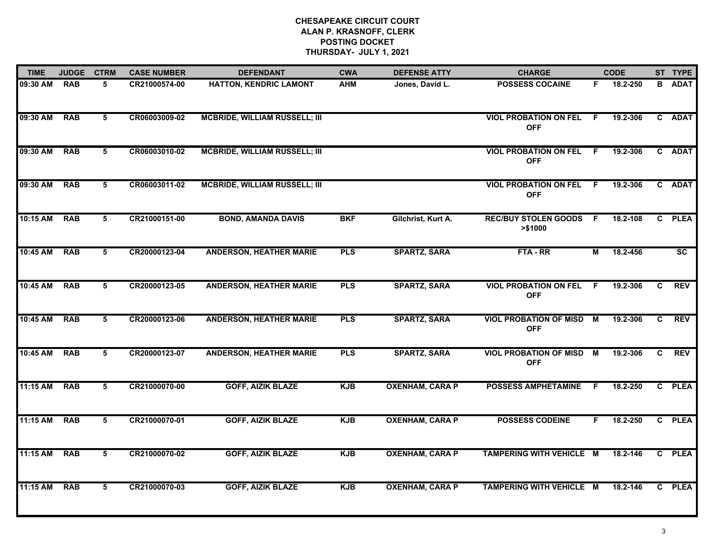| <b>TIME</b> | <b>JUDGE</b> | <b>CTRM</b> | <b>CASE NUMBER</b> | <b>DEFENDANT</b>                     | <b>CWA</b> | <b>DEFENSE ATTY</b>    | <b>CHARGE</b>                               |     | <b>CODE</b> |              | ST TYPE                |
|-------------|--------------|-------------|--------------------|--------------------------------------|------------|------------------------|---------------------------------------------|-----|-------------|--------------|------------------------|
| 09:30 AM    | <b>RAB</b>   | 5           | CR21000574-00      | <b>HATTON, KENDRIC LAMONT</b>        | <b>AHM</b> | Jones, David L.        | <b>POSSESS COCAINE</b>                      | F.  | 18.2-250    | В            | <b>ADAT</b>            |
| 09:30 AM    | <b>RAB</b>   | 5           | CR06003009-02      | <b>MCBRIDE, WILLIAM RUSSELL; III</b> |            |                        | <b>VIOL PROBATION ON FEL</b><br><b>OFF</b>  | -F. | 19.2-306    | $\mathbf{c}$ | <b>ADAT</b>            |
| 09:30 AM    | <b>RAB</b>   | 5           | CR06003010-02      | <b>MCBRIDE, WILLIAM RUSSELL; III</b> |            |                        | <b>VIOL PROBATION ON FEL</b><br><b>OFF</b>  | -F  | 19.2-306    |              | C ADAT                 |
| 09:30 AM    | <b>RAB</b>   | 5           | CR06003011-02      | <b>MCBRIDE, WILLIAM RUSSELL; III</b> |            |                        | <b>VIOL PROBATION ON FEL</b><br><b>OFF</b>  | -F. | 19.2-306    |              | C ADAT                 |
| 10:15 AM    | <b>RAB</b>   | 5           | CR21000151-00      | <b>BOND, AMANDA DAVIS</b>            | <b>BKF</b> | Gilchrist, Kurt A.     | <b>REC/BUY STOLEN GOODS</b><br>> \$1000     | F.  | 18.2-108    |              | C PLEA                 |
| 10:45 AM    | <b>RAB</b>   | 5           | CR20000123-04      | <b>ANDERSON, HEATHER MARIE</b>       | <b>PLS</b> | <b>SPARTZ, SARA</b>    | FTA-RR                                      | М   | 18.2-456    |              | $\overline{\text{sc}}$ |
| 10:45 AM    | <b>RAB</b>   | 5           | CR20000123-05      | <b>ANDERSON, HEATHER MARIE</b>       | <b>PLS</b> | <b>SPARTZ, SARA</b>    | <b>VIOL PROBATION ON FEL</b><br><b>OFF</b>  | F.  | 19.2-306    | C            | <b>REV</b>             |
| 10:45 AM    | <b>RAB</b>   | 5           | CR20000123-06      | <b>ANDERSON, HEATHER MARIE</b>       | <b>PLS</b> | <b>SPARTZ, SARA</b>    | <b>VIOL PROBATION OF MISD</b><br><b>OFF</b> | M   | 19.2-306    | C.           | <b>REV</b>             |
| 10:45 AM    | <b>RAB</b>   | 5           | CR20000123-07      | <b>ANDERSON, HEATHER MARIE</b>       | <b>PLS</b> | <b>SPARTZ, SARA</b>    | <b>VIOL PROBATION OF MISD</b><br><b>OFF</b> | M   | 19.2-306    | C.           | <b>REV</b>             |
| 11:15 AM    | <b>RAB</b>   | 5           | CR21000070-00      | <b>GOFF, AIZIK BLAZE</b>             | <b>KJB</b> | <b>OXENHAM, CARA P</b> | <b>POSSESS AMPHETAMINE</b>                  | F.  | 18.2-250    |              | C PLEA                 |
| 11:15 AM    | <b>RAB</b>   | 5           | CR21000070-01      | <b>GOFF, AIZIK BLAZE</b>             | <b>KJB</b> | <b>OXENHAM, CARA P</b> | <b>POSSESS CODEINE</b>                      | F.  | 18.2-250    |              | C PLEA                 |
| 11:15 AM    | <b>RAB</b>   | 5           | CR21000070-02      | <b>GOFF, AIZIK BLAZE</b>             | <b>KJB</b> | <b>OXENHAM, CARA P</b> | TAMPERING WITH VEHICLE M                    |     | 18.2-146    |              | C PLEA                 |
| 11:15 AM    | <b>RAB</b>   | 5           | CR21000070-03      | <b>GOFF, AIZIK BLAZE</b>             | <b>KJB</b> | <b>OXENHAM, CARA P</b> | TAMPERING WITH VEHICLE M                    |     | 18.2-146    |              | C PLEA                 |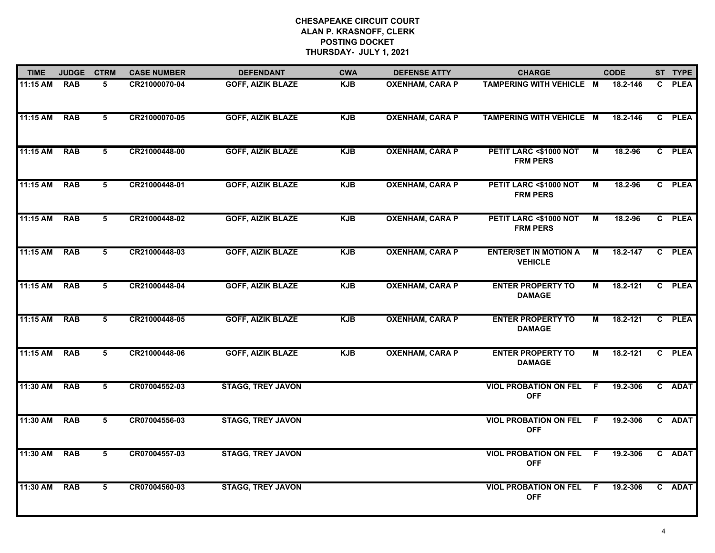| <b>TIME</b> | <b>JUDGE</b> | <b>CTRM</b>     | <b>CASE NUMBER</b> | <b>DEFENDANT</b>         | <b>CWA</b> | <b>DEFENSE ATTY</b>    | <b>CHARGE</b>                                  |     | <b>CODE</b> |    | ST TYPE     |
|-------------|--------------|-----------------|--------------------|--------------------------|------------|------------------------|------------------------------------------------|-----|-------------|----|-------------|
| 11:15 AM    | <b>RAB</b>   | 5               | CR21000070-04      | <b>GOFF, AIZIK BLAZE</b> | <b>KJB</b> | <b>OXENHAM, CARA P</b> | TAMPERING WITH VEHICLE M                       |     | 18.2-146    | C. | <b>PLEA</b> |
| 11:15 AM    | <b>RAB</b>   | 5               | CR21000070-05      | <b>GOFF, AIZIK BLAZE</b> | <b>KJB</b> | <b>OXENHAM, CARA P</b> | TAMPERING WITH VEHICLE M                       |     | 18.2-146    |    | C PLEA      |
| 11:15 AM    | <b>RAB</b>   | 5               | CR21000448-00      | <b>GOFF, AIZIK BLAZE</b> | <b>KJB</b> | <b>OXENHAM, CARA P</b> | PETIT LARC <\$1000 NOT<br><b>FRM PERS</b>      | М   | 18.2-96     |    | C PLEA      |
| 11:15 AM    | <b>RAB</b>   | 5               | CR21000448-01      | <b>GOFF, AIZIK BLAZE</b> | <b>KJB</b> | <b>OXENHAM, CARA P</b> | PETIT LARC <\$1000 NOT<br><b>FRM PERS</b>      | M   | 18.2-96     |    | C PLEA      |
| 11:15 AM    | <b>RAB</b>   | 5               | CR21000448-02      | <b>GOFF, AIZIK BLAZE</b> | <b>KJB</b> | <b>OXENHAM, CARA P</b> | PETIT LARC <\$1000 NOT<br><b>FRM PERS</b>      | М   | 18.2-96     |    | C PLEA      |
| 11:15 AM    | <b>RAB</b>   | $5\overline{5}$ | CR21000448-03      | <b>GOFF, AIZIK BLAZE</b> | <b>KJB</b> | <b>OXENHAM, CARA P</b> | <b>ENTER/SET IN MOTION A</b><br><b>VEHICLE</b> | М   | 18.2-147    |    | C PLEA      |
| 11:15 AM    | <b>RAB</b>   | 5               | CR21000448-04      | <b>GOFF, AIZIK BLAZE</b> | <b>KJB</b> | <b>OXENHAM, CARA P</b> | <b>ENTER PROPERTY TO</b><br><b>DAMAGE</b>      | М   | 18.2-121    |    | C PLEA      |
| 11:15 AM    | <b>RAB</b>   | 5               | CR21000448-05      | <b>GOFF, AIZIK BLAZE</b> | <b>KJB</b> | <b>OXENHAM, CARA P</b> | <b>ENTER PROPERTY TO</b><br><b>DAMAGE</b>      | M   | 18.2-121    |    | C PLEA      |
| 11:15 AM    | <b>RAB</b>   | 5               | CR21000448-06      | <b>GOFF, AIZIK BLAZE</b> | <b>KJB</b> | <b>OXENHAM, CARA P</b> | <b>ENTER PROPERTY TO</b><br><b>DAMAGE</b>      | М   | 18.2-121    |    | C PLEA      |
| 11:30 AM    | <b>RAB</b>   | 5               | CR07004552-03      | <b>STAGG, TREY JAVON</b> |            |                        | <b>VIOL PROBATION ON FEL</b><br><b>OFF</b>     | - F | 19.2-306    |    | C ADAT      |
| 11:30 AM    | <b>RAB</b>   | 5               | CR07004556-03      | <b>STAGG, TREY JAVON</b> |            |                        | <b>VIOL PROBATION ON FEL</b><br><b>OFF</b>     | - F | 19.2-306    |    | C ADAT      |
| 11:30 AM    | <b>RAB</b>   | 5               | CR07004557-03      | <b>STAGG, TREY JAVON</b> |            |                        | <b>VIOL PROBATION ON FEL</b><br><b>OFF</b>     | - F | 19.2-306    |    | C ADAT      |
| 11:30 AM    | <b>RAB</b>   | 5               | CR07004560-03      | <b>STAGG, TREY JAVON</b> |            |                        | <b>VIOL PROBATION ON FEL</b><br><b>OFF</b>     | -F  | 19.2-306    |    | C ADAT      |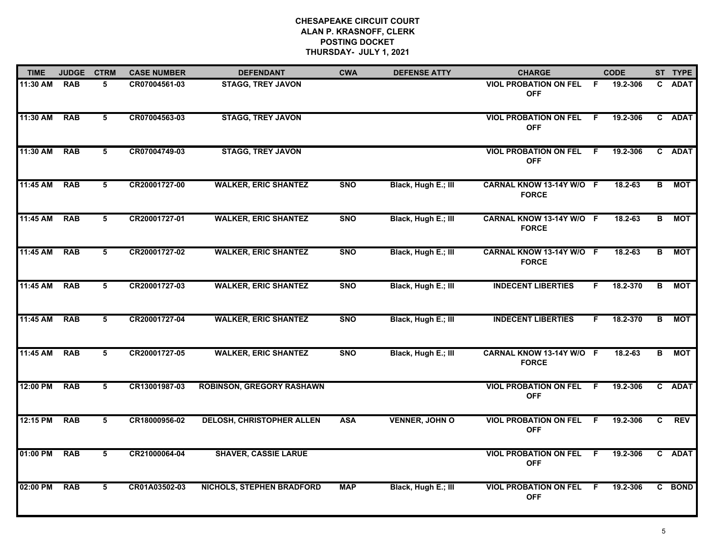| <b>TIME</b> | <b>JUDGE</b> | <b>CTRM</b> | <b>CASE NUMBER</b> | <b>DEFENDANT</b>                 | <b>CWA</b> | <b>DEFENSE ATTY</b>   | <b>CHARGE</b>                                |     | <b>CODE</b> |   | ST TYPE    |
|-------------|--------------|-------------|--------------------|----------------------------------|------------|-----------------------|----------------------------------------------|-----|-------------|---|------------|
| 11:30 AM    | <b>RAB</b>   | 5           | CR07004561-03      | <b>STAGG, TREY JAVON</b>         |            |                       | <b>VIOL PROBATION ON FEL</b><br><b>OFF</b>   | -F  | 19.2-306    |   | C ADAT     |
| 11:30 AM    | <b>RAB</b>   | 5           | CR07004563-03      | <b>STAGG, TREY JAVON</b>         |            |                       | <b>VIOL PROBATION ON FEL</b><br><b>OFF</b>   | - F | 19.2-306    |   | C ADAT     |
| 11:30 AM    | <b>RAB</b>   | 5           | CR07004749-03      | <b>STAGG, TREY JAVON</b>         |            |                       | <b>VIOL PROBATION ON FEL</b><br><b>OFF</b>   | - F | 19.2-306    |   | C ADAT     |
| 11:45 AM    | <b>RAB</b>   | 5           | CR20001727-00      | <b>WALKER, ERIC SHANTEZ</b>      | <b>SNO</b> | Black, Hugh E.; III   | CARNAL KNOW 13-14Y W/O F<br><b>FORCE</b>     |     | $18.2 - 63$ | в | MOT        |
| 11:45 AM    | <b>RAB</b>   | 5           | CR20001727-01      | <b>WALKER, ERIC SHANTEZ</b>      | <b>SNO</b> | Black, Hugh E.; III   | CARNAL KNOW 13-14Y W/O F<br><b>FORCE</b>     |     | $18.2 - 63$ | B | <b>MOT</b> |
| 11:45 AM    | <b>RAB</b>   | 5           | CR20001727-02      | <b>WALKER, ERIC SHANTEZ</b>      | <b>SNO</b> | Black, Hugh E.; III   | CARNAL KNOW 13-14Y W/O F<br><b>FORCE</b>     |     | 18.2-63     | B | <b>MOT</b> |
| 11:45 AM    | <b>RAB</b>   | 5           | CR20001727-03      | <b>WALKER, ERIC SHANTEZ</b>      | <b>SNO</b> | Black, Hugh E.; III   | <b>INDECENT LIBERTIES</b>                    | F.  | 18.2-370    | B | <b>MOT</b> |
| 11:45 AM    | <b>RAB</b>   | 5           | CR20001727-04      | <b>WALKER, ERIC SHANTEZ</b>      | <b>SNO</b> | Black, Hugh E.; III   | <b>INDECENT LIBERTIES</b>                    | F.  | 18.2-370    | в | <b>MOT</b> |
| 11:45 AM    | <b>RAB</b>   | 5           | CR20001727-05      | <b>WALKER, ERIC SHANTEZ</b>      | <b>SNO</b> | Black, Hugh E.; III   | CARNAL KNOW 13-14Y W/O F<br><b>FORCE</b>     |     | 18.2-63     | B | <b>MOT</b> |
| 12:00 PM    | <b>RAB</b>   | 5           | CR13001987-03      | <b>ROBINSON, GREGORY RASHAWN</b> |            |                       | <b>VIOL PROBATION ON FEL</b><br><b>OFF</b>   | - F | 19.2-306    |   | C ADAT     |
| 12:15 PM    | <b>RAB</b>   | 5           | CR18000956-02      | <b>DELOSH, CHRISTOPHER ALLEN</b> | <b>ASA</b> | <b>VENNER, JOHN O</b> | <b>VIOL PROBATION ON FEL F</b><br><b>OFF</b> |     | 19.2-306    | C | <b>REV</b> |
| 01:00 PM    | <b>RAB</b>   | 5           | CR21000064-04      | <b>SHAVER, CASSIE LARUE</b>      |            |                       | <b>VIOL PROBATION ON FEL</b><br><b>OFF</b>   | F.  | 19.2-306    |   | C ADAT     |
| 02:00 PM    | <b>RAB</b>   | 5           | CR01A03502-03      | <b>NICHOLS, STEPHEN BRADFORD</b> | <b>MAP</b> | Black, Hugh E.; III   | <b>VIOL PROBATION ON FEL</b><br><b>OFF</b>   | -F  | 19.2-306    |   | C BOND     |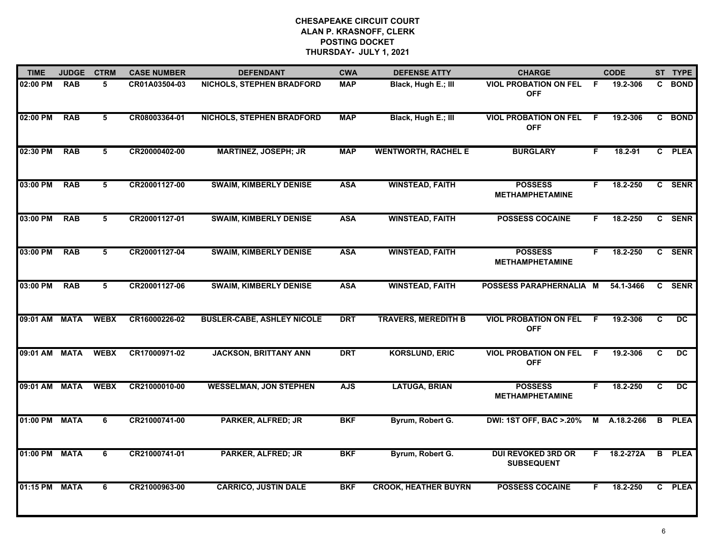| <b>TIME</b>   | <b>JUDGE</b> | <b>CTRM</b> | <b>CASE NUMBER</b> | <b>DEFENDANT</b>                  | <b>CWA</b> | <b>DEFENSE ATTY</b>         | <b>CHARGE</b>                                  |    | <b>CODE</b> |   | ST TYPE         |
|---------------|--------------|-------------|--------------------|-----------------------------------|------------|-----------------------------|------------------------------------------------|----|-------------|---|-----------------|
| 02:00 PM      | <b>RAB</b>   | 5           | CR01A03504-03      | <b>NICHOLS, STEPHEN BRADFORD</b>  | <b>MAP</b> | Black, Hugh E.; III         | <b>VIOL PROBATION ON FEL</b><br><b>OFF</b>     | -F | 19.2-306    |   | C BOND          |
| 02:00 PM      | <b>RAB</b>   | 5           | CR08003364-01      | <b>NICHOLS, STEPHEN BRADFORD</b>  | <b>MAP</b> | Black, Hugh E.; III         | <b>VIOL PROBATION ON FEL</b><br><b>OFF</b>     | F. | 19.2-306    |   | C BOND          |
| 02:30 PM      | <b>RAB</b>   | 5           | CR20000402-00      | <b>MARTINEZ, JOSEPH; JR</b>       | <b>MAP</b> | <b>WENTWORTH, RACHEL E</b>  | <b>BURGLARY</b>                                | F  | 18.2-91     |   | C PLEA          |
| 03:00 PM      | <b>RAB</b>   | 5           | CR20001127-00      | <b>SWAIM, KIMBERLY DENISE</b>     | <b>ASA</b> | <b>WINSTEAD, FAITH</b>      | <b>POSSESS</b><br><b>METHAMPHETAMINE</b>       | F. | 18.2-250    |   | C SENR          |
| 03:00 PM      | <b>RAB</b>   | 5           | CR20001127-01      | <b>SWAIM, KIMBERLY DENISE</b>     | <b>ASA</b> | <b>WINSTEAD, FAITH</b>      | <b>POSSESS COCAINE</b>                         | F. | 18.2-250    |   | C SENR          |
| 03:00 PM      | <b>RAB</b>   | 5           | CR20001127-04      | <b>SWAIM, KIMBERLY DENISE</b>     | <b>ASA</b> | <b>WINSTEAD, FAITH</b>      | <b>POSSESS</b><br><b>METHAMPHETAMINE</b>       | F. | 18.2-250    |   | C SENR          |
| 03:00 PM      | <b>RAB</b>   | 5           | CR20001127-06      | <b>SWAIM, KIMBERLY DENISE</b>     | <b>ASA</b> | <b>WINSTEAD, FAITH</b>      | POSSESS PARAPHERNALIA M                        |    | 54.1-3466   |   | C SENR          |
| 09:01 AM MATA |              | <b>WEBX</b> | CR16000226-02      | <b>BUSLER-CABE, ASHLEY NICOLE</b> | <b>DRT</b> | <b>TRAVERS, MEREDITH B</b>  | <b>VIOL PROBATION ON FEL</b><br><b>OFF</b>     | F  | 19.2-306    | C | $\overline{DC}$ |
| 09:01 AM      | <b>MATA</b>  | <b>WEBX</b> | CR17000971-02      | <b>JACKSON, BRITTANY ANN</b>      | <b>DRT</b> | <b>KORSLUND, ERIC</b>       | <b>VIOL PROBATION ON FEL</b><br><b>OFF</b>     | E  | 19.2-306    | C | <b>DC</b>       |
| 09:01 AM MATA |              | <b>WEBX</b> | CR21000010-00      | <b>WESSELMAN, JON STEPHEN</b>     | <b>AJS</b> | <b>LATUGA, BRIAN</b>        | <b>POSSESS</b><br><b>METHAMPHETAMINE</b>       | F. | 18.2-250    | C | <b>DC</b>       |
| 01:00 PM      | <b>MATA</b>  | 6           | CR21000741-00      | <b>PARKER, ALFRED; JR</b>         | <b>BKF</b> | Byrum, Robert G.            | <b>DWI: 1ST OFF, BAC &gt; 20%</b>              | М  | A.18.2-266  | B | <b>PLEA</b>     |
| 01:00 PM      | <b>MATA</b>  | 6           | CR21000741-01      | <b>PARKER, ALFRED; JR</b>         | <b>BKF</b> | Byrum, Robert G.            | <b>DUI REVOKED 3RD OR</b><br><b>SUBSEQUENT</b> | F. | 18.2-272A   |   | <b>B</b> PLEA   |
| 01:15 PM      | <b>MATA</b>  | 6           | CR21000963-00      | <b>CARRICO, JUSTIN DALE</b>       | <b>BKF</b> | <b>CROOK, HEATHER BUYRN</b> | <b>POSSESS COCAINE</b>                         |    | 18.2-250    |   | C PLEA          |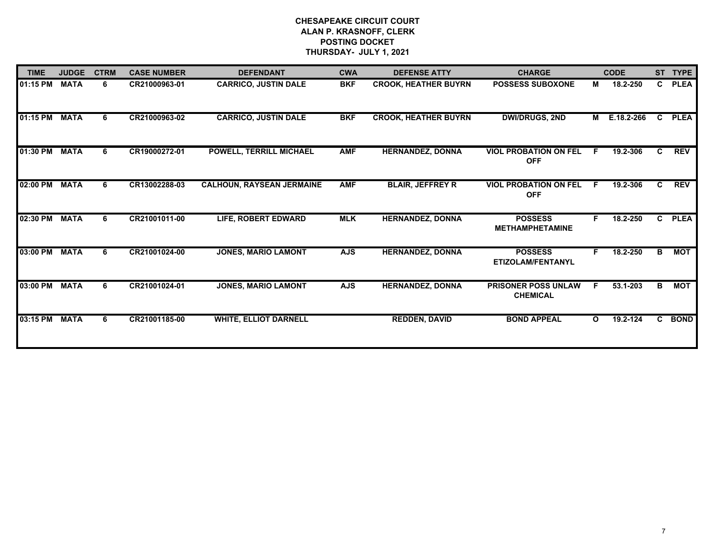| <b>TIME</b>   | <b>JUDGE</b> | <b>CTRM</b> | <b>CASE NUMBER</b> | <b>DEFENDANT</b>                 | <b>CWA</b> | <b>DEFENSE ATTY</b>         | <b>CHARGE</b>                                 |          | <b>CODE</b> |              | ST TYPE     |
|---------------|--------------|-------------|--------------------|----------------------------------|------------|-----------------------------|-----------------------------------------------|----------|-------------|--------------|-------------|
| 01:15 PM      | <b>MATA</b>  | 6           | CR21000963-01      | <b>CARRICO, JUSTIN DALE</b>      | <b>BKF</b> | <b>CROOK, HEATHER BUYRN</b> | <b>POSSESS SUBOXONE</b>                       | М        | 18.2-250    | $\mathbf{c}$ | <b>PLEA</b> |
| 01:15 PM      | <b>MATA</b>  | 6           | CR21000963-02      | <b>CARRICO, JUSTIN DALE</b>      | <b>BKF</b> | <b>CROOK, HEATHER BUYRN</b> | <b>DWI/DRUGS, 2ND</b>                         | M        | E.18.2-266  | $\mathbf{c}$ | <b>PLEA</b> |
| 01:30 PM      | <b>MATA</b>  | 6           | CR19000272-01      | <b>POWELL, TERRILL MICHAEL</b>   | <b>AMF</b> | <b>HERNANDEZ, DONNA</b>     | <b>VIOL PROBATION ON FEL</b><br><b>OFF</b>    | E        | 19.2-306    | C.           | <b>REV</b>  |
| 02:00 PM MATA |              | 6           | CR13002288-03      | <b>CALHOUN, RAYSEAN JERMAINE</b> | <b>AMF</b> | <b>BLAIR, JEFFREY R</b>     | <b>VIOL PROBATION ON FEL</b><br><b>OFF</b>    | E        | 19.2-306    | $\mathbf{C}$ | <b>REV</b>  |
| 02:30 PM      | <b>MATA</b>  | 6           | CR21001011-00      | <b>LIFE, ROBERT EDWARD</b>       | <b>MLK</b> | <b>HERNANDEZ, DONNA</b>     | <b>POSSESS</b><br><b>METHAMPHETAMINE</b>      | F.       | 18.2-250    | $\mathbf{c}$ | <b>PLEA</b> |
| 03:00 PM      | <b>MATA</b>  | 6           | CR21001024-00      | <b>JONES, MARIO LAMONT</b>       | <b>AJS</b> | <b>HERNANDEZ, DONNA</b>     | <b>POSSESS</b><br><b>ETIZOLAM/FENTANYL</b>    |          | 18.2-250    | В            | <b>MOT</b>  |
| 03:00 PM      | <b>MATA</b>  | 6           | CR21001024-01      | <b>JONES, MARIO LAMONT</b>       | <b>AJS</b> | <b>HERNANDEZ, DONNA</b>     | <b>PRISONER POSS UNLAW</b><br><b>CHEMICAL</b> | E        | 53.1-203    | В            | <b>MOT</b>  |
| 03:15 PM MATA |              | 6           | CR21001185-00      | <b>WHITE, ELLIOT DARNELL</b>     |            | <b>REDDEN, DAVID</b>        | <b>BOND APPEAL</b>                            | $\Omega$ | 19.2-124    | C.           | <b>BOND</b> |